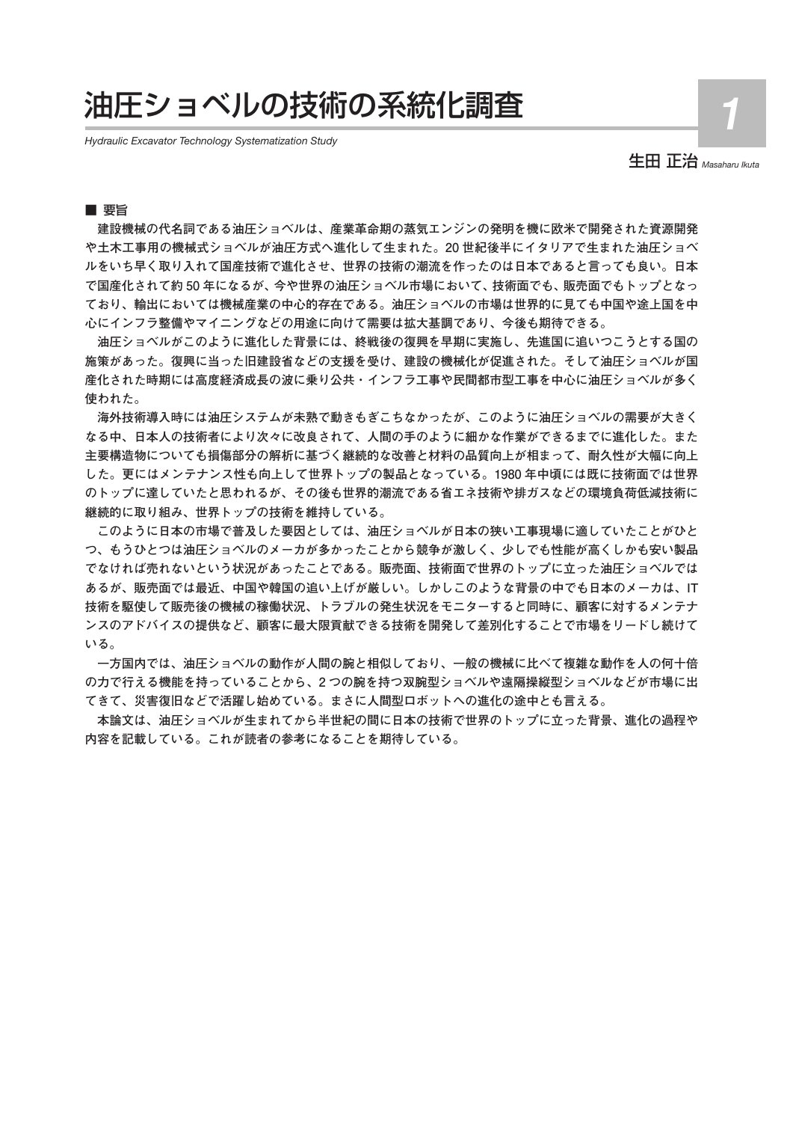# 油圧ショベルの技術の系統化調査

*Hydraulic Excavator Technology Systematization Study*

生田 正治 *Masaharu Ikuta*

**1**

# ■ 要旨

**建設機械の代名詞である油圧ショベルは、産業革命期の蒸気エンジンの発明を機に欧米で開発された資源開発 や土木工事用の機械式ショベルが油圧方式へ進化して生まれた。20 世紀後半にイタリアで生まれた油圧ショベ ルをいち早く取り入れて国産技術で進化させ、世界の技術の潮流を作ったのは日本であると言っても良い。日本 で国産化されて約 50 年になるが、今や世界の油圧ショベル市場において、技術面でも、販売面でもトップとなっ ており、輸出においては機械産業の中心的存在である。油圧ショベルの市場は世界的に見ても中国や途上国を中 心にインフラ整備やマイニングなどの用途に向けて需要は拡大基調であり、今後も期待できる。**

**油圧ショベルがこのように進化した背景には、終戦後の復興を早期に実施し、先進国に追いつこうとする国の 施策があった。復興に当った旧建設省などの支援を受け、建設の機械化が促進された。そして油圧ショベルが国 産化された時期には高度経済成長の波に乗り公共・インフラ工事や民間都市型工事を中心に油圧ショベルが多く 使われた。**

**海外技術導入時には油圧システムが未熟で動きもぎこちなかったが、このように油圧ショベルの需要が大きく なる中、日本人の技術者により次々に改良されて、人間の手のように細かな作業ができるまでに進化した。また 主要構造物についても損傷部分の解析に基づく継続的な改善と材料の品質向上が相まって、耐久性が大幅に向上 した。更にはメンテナンス性も向上して世界トップの製品となっている。1980 年中頃には既に技術面では世界 のトップに達していたと思われるが、その後も世界的潮流である省エネ技術や排ガスなどの環境負荷低減技術に 継続的に取り組み、世界トップの技術を維持している。**

**このように日本の市場で普及した要因としては、油圧ショベルが日本の狭い工事現場に適していたことがひと つ、もうひとつは油圧ショベルのメーカが多かったことから競争が激しく、少しでも性能が高くしかも安い製品 でなければ売れないという状況があったことである。販売面、技術面で世界のトップに立った油圧ショベルでは あるが、販売面では最近、中国や韓国の追い上げが厳しい。しかしこのような背景の中でも日本のメーカは、IT 技術を駆使して販売後の機械の稼働状況、トラブルの発生状況をモニターすると同時に、顧客に対するメンテナ ンスのアドバイスの提供など、顧客に最大限貢献できる技術を開発して差別化することで市場をリードし続けて いる。**

**一方国内では、油圧ショベルの動作が人間の腕と相似しており、一般の機械に比べて複雑な動作を人の何十倍 の力で行える機能を持っていることから、2 つの腕を持つ双腕型ショベルや遠隔操縦型ショベルなどが市場に出 てきて、災害復旧などで活躍し始めている。まさに人間型ロボットへの進化の途中とも言える。**

**本論文は、油圧ショベルが生まれてから半世紀の間に日本の技術で世界のトップに立った背景、進化の過程や 内容を記載している。これが読者の参考になることを期待している。**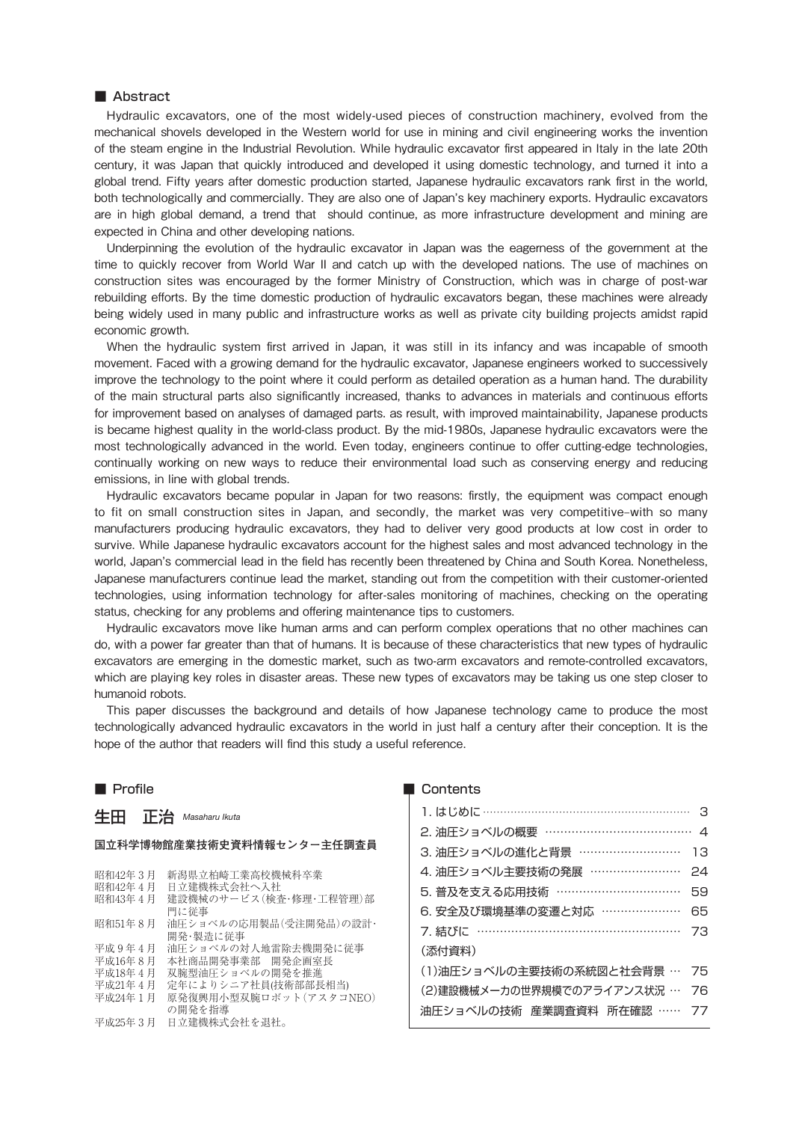# ■ Abstract

Hydraulic excavators, one of the most widely-used pieces of construction machinery, evolved from the mechanical shovels developed in the Western world for use in mining and civil engineering works the invention of the steam engine in the Industrial Revolution. While hydraulic excavator first appeared in Italy in the late 20th century, it was Japan that quickly introduced and developed it using domestic technology, and turned it into a global trend. Fifty years after domestic production started, Japanese hydraulic excavators rank first in the world, both technologically and commercially. They are also one of Japan's key machinery exports. Hydraulic excavators are in high global demand, a trend that should continue, as more infrastructure development and mining are expected in China and other developing nations.

Underpinning the evolution of the hydraulic excavator in Japan was the eagerness of the government at the time to quickly recover from World War II and catch up with the developed nations. The use of machines on construction sites was encouraged by the former Ministry of Construction, which was in charge of post-war rebuilding efforts. By the time domestic production of hydraulic excavators began, these machines were already being widely used in many public and infrastructure works as well as private city building projects amidst rapid economic growth.

When the hydraulic system first arrived in Japan, it was still in its infancy and was incapable of smooth movement. Faced with a growing demand for the hydraulic excavator, Japanese engineers worked to successively improve the technology to the point where it could perform as detailed operation as a human hand. The durability of the main structural parts also significantly increased, thanks to advances in materials and continuous efforts for improvement based on analyses of damaged parts. as result, with improved maintainability, Japanese products is became highest quality in the world-class product. By the mid-1980s, Japanese hydraulic excavators were the most technologically advanced in the world. Even today, engineers continue to offer cutting-edge technologies, continually working on new ways to reduce their environmental load such as conserving energy and reducing emissions, in line with global trends.

Hydraulic excavators became popular in Japan for two reasons: firstly, the equipment was compact enough to fit on small construction sites in Japan, and secondly, the market was very competitive–with so many manufacturers producing hydraulic excavators, they had to deliver very good products at low cost in order to survive. While Japanese hydraulic excavators account for the highest sales and most advanced technology in the world, Japan's commercial lead in the field has recently been threatened by China and South Korea. Nonetheless, Japanese manufacturers continue lead the market, standing out from the competition with their customer-oriented technologies, using information technology for after-sales monitoring of machines, checking on the operating status, checking for any problems and offering maintenance tips to customers.

Hydraulic excavators move like human arms and can perform complex operations that no other machines can do, with a power far greater than that of humans. It is because of these characteristics that new types of hydraulic excavators are emerging in the domestic market, such as two-arm excavators and remote-controlled excavators, which are playing key roles in disaster areas. These new types of excavators may be taking us one step closer to humanoid robots.

This paper discusses the background and details of how Japanese technology came to produce the most technologically advanced hydraulic excavators in the world in just half a century after their conception. It is the hope of the author that readers will find this study a useful reference.

### ■ Profile

生田 正治 *Masaharu Ikuta*

#### **国立科学博物館産業技術史資料情報センター主任調査員**

- 昭和42年3月 新潟県立柏崎工業高校機械科卒業<br>昭和42年4月 日立建機株式会社へ入社
- 昭和42年4月 日立建機株式会社へ入社<br>昭和43年4月 建設機械のサービス(検礼
- 建設機械のサービス(検査・修理・工程管理)部
- 門に従事
- 昭和51年 8 月 油圧ショベルの応用製品(受注開発品)の設計・ 開発・製造に従事
- 
- 平成9年4月 油圧ショベルの対人地雷除去機開発に従事<br>平成16年8月 本社商品開発事業部 開発企画室長 平成16年 8 月 本社商品開発事業部 開発企画室長<br>平成18年 4 月 双腕型油圧ショベルの開発を推進
- 平成18年4月 双腕型油圧ショベルの開発を推進<br>平成21年4月 完年によりシニア社員は術部部長
- ーペエ・・・・・・・・・・・・<br>平成21年 4 月 定年によりシニア社員(技術部部長相当)<br>平成24年1月 原発復興用小型双腕ロボット(アスタコ!
- 原発復興用小型双腕ロボット(アスタコNEO) の開発を指導
- 平成25年 3 月 日立建機株式会社を退社。

#### **Contents**

| 1. はじめに ………………………………………………… 3  |    |
|--------------------------------|----|
| 2. 油圧ショベルの概要 ……………………………… 4    |    |
| 3. 油圧ショベルの進化と背景 ………………………      | 13 |
| 4. 油圧ショベル主要技術の発展 ……………………      | 24 |
| 5. 普及を支える応用技術 ……………………………      | 59 |
| 6. 安全及び環境基準の変遷と対応 …………………      | 65 |
| 7. 結びに ……………………………………………       | 73 |
| (添付資料)                         |    |
| (1)油圧ショベルの主要技術の系統図と社会背景 … 75   |    |
| (2)建設機械メーカの世界規模でのアライアンス状況 … 76 |    |
| 油圧ショベルの技術 産業調査資料 所在確認 …… 77    |    |
|                                |    |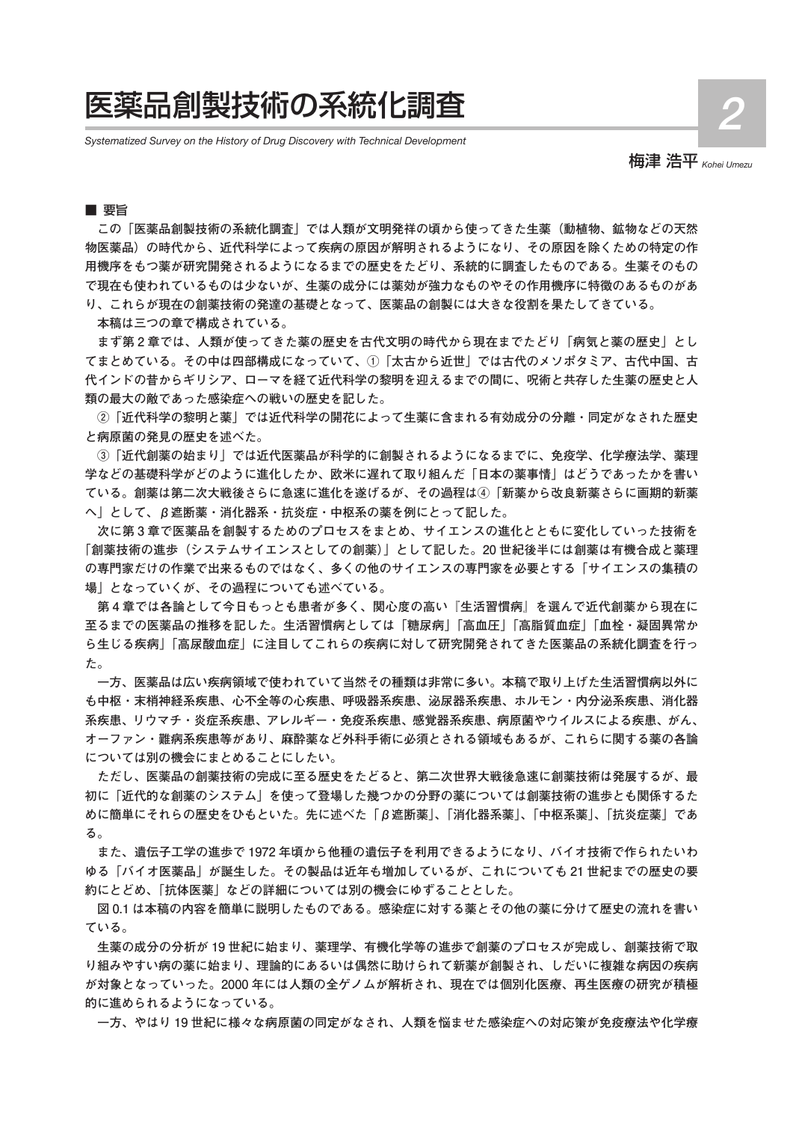# 医薬品創製技術の系統化調査

*Systematized Survey on the History of Drug Discovery with Technical Development*

梅津 浩平 *Kohei Umezu*

**2**

■ 要旨

**この「医薬品創製技術の系統化調査」では人類が文明発祥の頃から使ってきた生薬(動植物、鉱物などの天然 物医薬品)の時代から、近代科学によって疾病の原因が解明されるようになり、その原因を除くための特定の作 用機序をもつ薬が研究開発されるようになるまでの歴史をたどり、系統的に調査したものである。生薬そのもの で現在も使われているものは少ないが、生薬の成分には薬効が強力なものやその作用機序に特徴のあるものがあ り、これらが現在の創薬技術の発達の基礎となって、医薬品の創製には大きな役割を果たしてきている。**

**本稿は三つの章で構成されている。**

**まず第 2 章では、人類が使ってきた薬の歴史を古代文明の時代から現在までたどり「病気と薬の歴史」とし てまとめている。その中は四部構成になっていて、①「太古から近世」では古代のメソポタミア、古代中国、古 代インドの昔からギリシア、ローマを経て近代科学の黎明を迎えるまでの間に、呪術と共存した生薬の歴史と人 類の最大の敵であった感染症への戦いの歴史を記した。**

**②「近代科学の黎明と薬」では近代科学の開花によって生薬に含まれる有効成分の分離・同定がなされた歴史 と病原菌の発見の歴史を述べた。**

**③「近代創薬の始まり」では近代医薬品が科学的に創製されるようになるまでに、免疫学、化学療法学、薬理 学などの基礎科学がどのように進化したか、欧米に遅れて取り組んだ「日本の薬事情」はどうであったかを書い ている。創薬は第二次大戦後さらに急速に進化を遂げるが、その過程は④「新薬から改良新薬さらに画期的新薬 へ」として、β遮断薬・消化器系・抗炎症・中枢系の薬を例にとって記した。**

**次に第 3 章で医薬品を創製するためのプロセスをまとめ、サイエンスの進化とともに変化していった技術を 「創薬技術の進歩(システムサイエンスとしての創薬)」として記した。20 世紀後半には創薬は有機合成と薬理 の専門家だけの作業で出来るものではなく、多くの他のサイエンスの専門家を必要とする「サイエンスの集積の 場」となっていくが、その過程についても述べている。**

**第 4 章では各論として今日もっとも患者が多く、関心度の高い『生活習慣病』を選んで近代創薬から現在に 至るまでの医薬品の推移を記した。生活習慣病としては「糖尿病」「高血圧」「高脂質血症」「血栓・凝固異常か ら生じる疾病」「高尿酸血症」に注目してこれらの疾病に対して研究開発されてきた医薬品の系統化調査を行っ た。**

**一方、医薬品は広い疾病領域で使われていて当然その種類は非常に多い。本稿で取り上げた生活習慣病以外に も中枢・末梢神経系疾患、心不全等の心疾患、呼吸器系疾患、泌尿器系疾患、ホルモン・内分泌系疾患、消化器 系疾患、リウマチ・炎症系疾患、アレルギー・免疫系疾患、感覚器系疾患、病原菌やウイルスによる疾患、がん、 オーファン・難病系疾患等があり、麻酔薬など外科手術に必須とされる領域もあるが、これらに関する薬の各論 については別の機会にまとめることにしたい。**

**ただし、医薬品の創薬技術の完成に至る歴史をたどると、第二次世界大戦後急速に創薬技術は発展するが、最 初に「近代的な創薬のシステム」を使って登場した幾つかの分野の薬については創薬技術の進歩とも関係するた めに簡単にそれらの歴史をひもといた。先に述べた「β遮断薬」、「消化器系薬」、「中枢系薬」、「抗炎症薬」であ る。**

**また、遺伝子工学の進歩で 1972 年頃から他種の遺伝子を利用できるようになり、バイオ技術で作られたいわ ゆる「バイオ医薬品」が誕生した。その製品は近年も増加しているが、これについても 21 世紀までの歴史の要 約にとどめ、「抗体医薬」などの詳細については別の機会にゆずることとした。**

**図 0.1 は本稿の内容を簡単に説明したものである。感染症に対する薬とその他の薬に分けて歴史の流れを書い ている。**

**生薬の成分の分析が 19 世紀に始まり、薬理学、有機化学等の進歩で創薬のプロセスが完成し、創薬技術で取 り組みやすい病の薬に始まり、理論的にあるいは偶然に助けられて新薬が創製され、しだいに複雑な病因の疾病 が対象となっていった。2000 年には人類の全ゲノムが解析され、現在では個別化医療、再生医療の研究が積極 的に進められるようになっている。**

**一方、やはり 19 世紀に様々な病原菌の同定がなされ、人類を悩ませた感染症への対応策が免疫療法や化学療**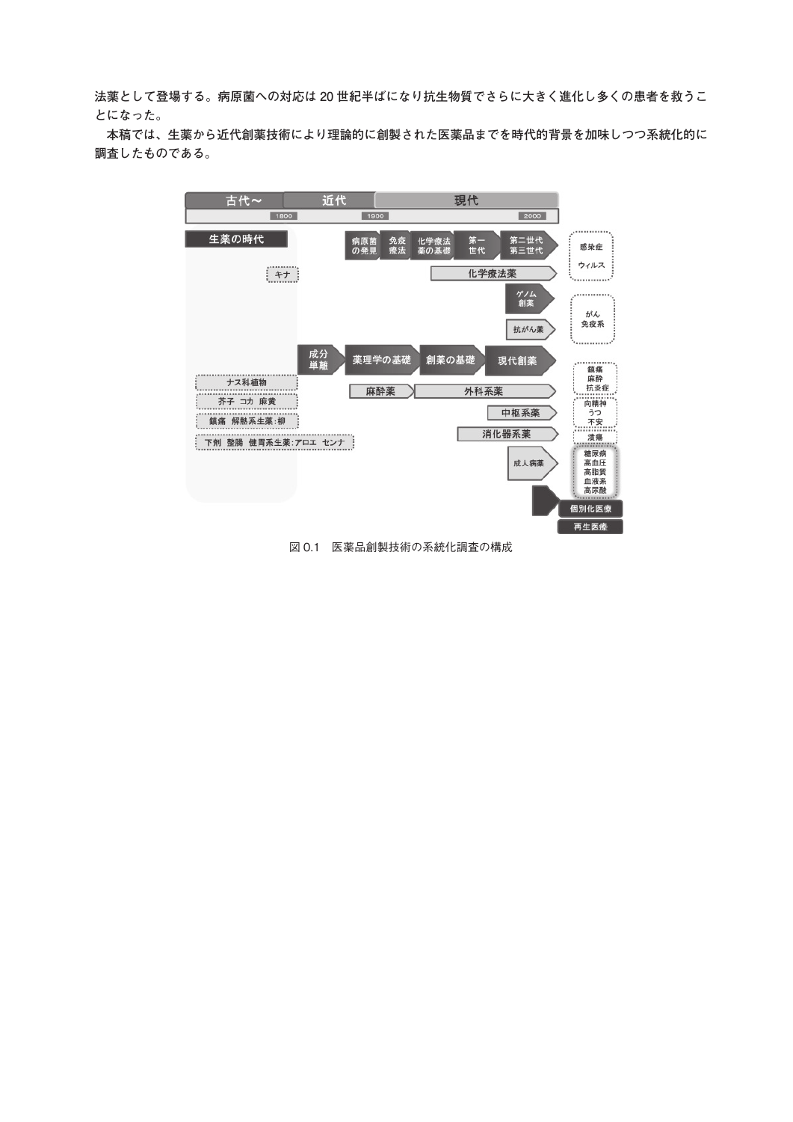**法薬として登場する。病原菌への対応は 20 世紀半ばになり抗生物質でさらに大きく進化し多くの患者を救うこ とになった。**

**本稿では、生薬から近代創薬技術により理論的に創製された医薬品までを時代的背景を加味しつつ系統化的に 調査したものである。**



図 0.1 医薬品創製技術の系統化調査の構成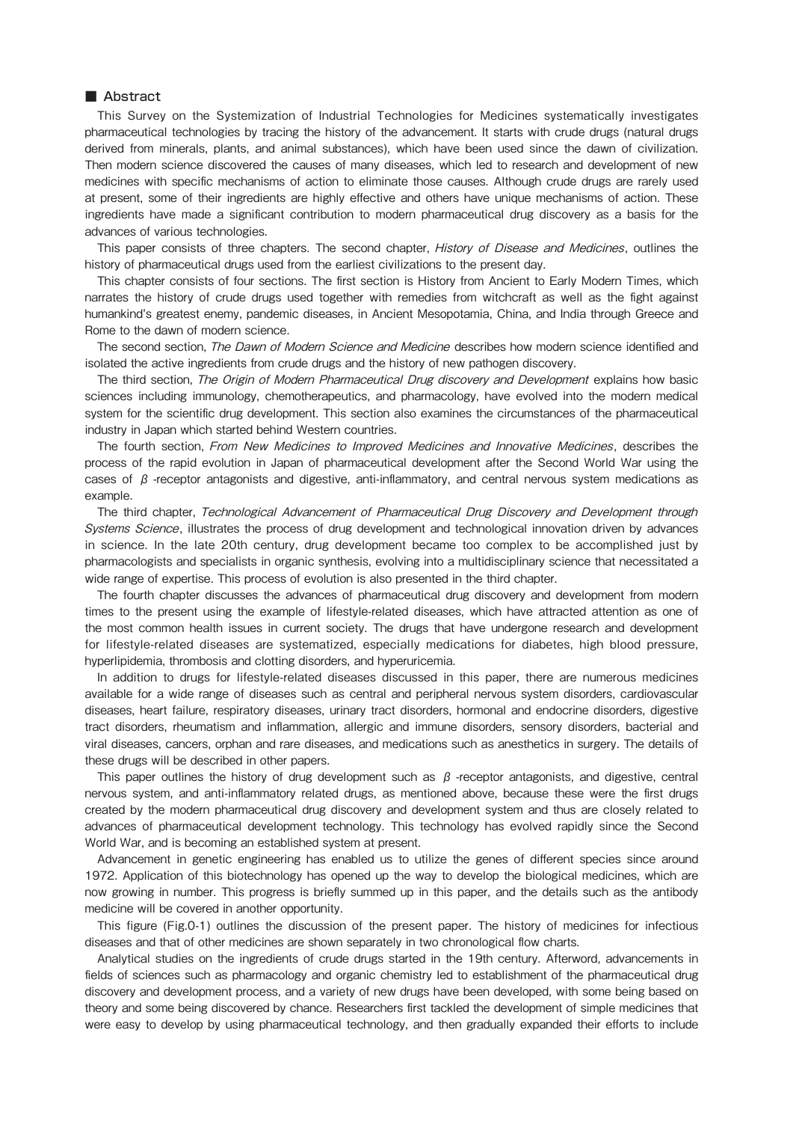# ■ Abstract

This Survey on the Systemization of Industrial Technologies for Medicines systematically investigates pharmaceutical technologies by tracing the history of the advancement. It starts with crude drugs (natural drugs derived from minerals, plants, and animal substances), which have been used since the dawn of civilization. Then modern science discovered the causes of many diseases, which led to research and development of new medicines with specific mechanisms of action to eliminate those causes. Although crude drugs are rarely used at present, some of their ingredients are highly effective and others have unique mechanisms of action. These ingredients have made a significant contribution to modern pharmaceutical drug discovery as a basis for the advances of various technologies.

This paper consists of three chapters. The second chapter, History of Disease and Medicines, outlines the history of pharmaceutical drugs used from the earliest civilizations to the present day.

This chapter consists of four sections. The first section is History from Ancient to Early Modern Times, which narrates the history of crude drugs used together with remedies from witchcraft as well as the fight against humankind's greatest enemy, pandemic diseases, in Ancient Mesopotamia, China, and India through Greece and Rome to the dawn of modern science.

The second section, The Dawn of Modern Science and Medicine describes how modern science identified and isolated the active ingredients from crude drugs and the history of new pathogen discovery.

The third section, The Origin of Modern Pharmaceutical Drug discovery and Development explains how basic sciences including immunology, chemotherapeutics, and pharmacology, have evolved into the modern medical system for the scientific drug development. This section also examines the circumstances of the pharmaceutical industry in Japan which started behind Western countries.

The fourth section, From New Medicines to Improved Medicines and Innovative Medicines, describes the process of the rapid evolution in Japan of pharmaceutical development after the Second World War using the cases of  $\beta$  -receptor antagonists and digestive, anti-inflammatory, and central nervous system medications as example.

The third chapter, Technological Advancement of Pharmaceutical Drug Discovery and Development through Systems Science, illustrates the process of drug development and technological innovation driven by advances in science. In the late 20th century, drug development became too complex to be accomplished just by pharmacologists and specialists in organic synthesis, evolving into a multidisciplinary science that necessitated a wide range of expertise. This process of evolution is also presented in the third chapter.

The fourth chapter discusses the advances of pharmaceutical drug discovery and development from modern times to the present using the example of lifestyle-related diseases, which have attracted attention as one of the most common health issues in current society. The drugs that have undergone research and development for lifestyle-related diseases are systematized, especially medications for diabetes, high blood pressure, hyperlipidemia, thrombosis and clotting disorders, and hyperuricemia.

In addition to drugs for lifestyle-related diseases discussed in this paper, there are numerous medicines available for a wide range of diseases such as central and peripheral nervous system disorders, cardiovascular diseases, heart failure, respiratory diseases, urinary tract disorders, hormonal and endocrine disorders, digestive tract disorders, rheumatism and inflammation, allergic and immune disorders, sensory disorders, bacterial and viral diseases, cancers, orphan and rare diseases, and medications such as anesthetics in surgery. The details of these drugs will be described in other papers.

This paper outlines the history of drug development such as  $\beta$  -receptor antagonists, and digestive, central nervous system, and anti-inflammatory related drugs, as mentioned above, because these were the first drugs created by the modern pharmaceutical drug discovery and development system and thus are closely related to advances of pharmaceutical development technology. This technology has evolved rapidly since the Second World War, and is becoming an established system at present.

Advancement in genetic engineering has enabled us to utilize the genes of different species since around 1972. Application of this biotechnology has opened up the way to develop the biological medicines, which are now growing in number. This progress is briefly summed up in this paper, and the details such as the antibody medicine will be covered in another opportunity.

This figure (Fig.0-1) outlines the discussion of the present paper. The history of medicines for infectious diseases and that of other medicines are shown separately in two chronological flow charts.

Analytical studies on the ingredients of crude drugs started in the 19th century. Afterword, advancements in fields of sciences such as pharmacology and organic chemistry led to establishment of the pharmaceutical drug discovery and development process, and a variety of new drugs have been developed, with some being based on theory and some being discovered by chance. Researchers first tackled the development of simple medicines that were easy to develop by using pharmaceutical technology, and then gradually expanded their efforts to include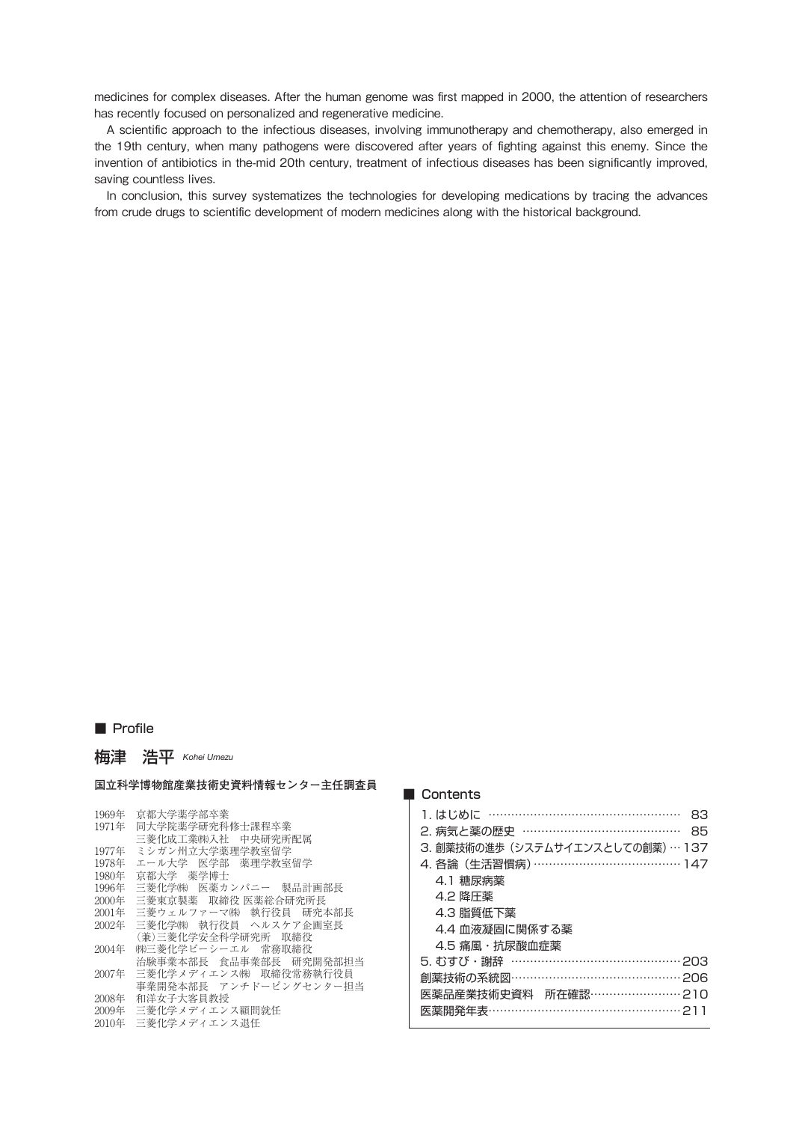medicines for complex diseases. After the human genome was first mapped in 2000, the attention of researchers has recently focused on personalized and regenerative medicine.

A scientific approach to the infectious diseases, involving immunotherapy and chemotherapy, also emerged in the 19th century, when many pathogens were discovered after years of fighting against this enemy. Since the invention of antibiotics in the-mid 20th century, treatment of infectious diseases has been significantly improved, saving countless lives.

In conclusion, this survey systematizes the technologies for developing medications by tracing the advances from crude drugs to scientific development of modern medicines along with the historical background.

## ■ Profile

梅津 浩平 *Kohei Umezu*

#### **国立科学博物館産業技術史資料情報センター主任調査員**

1969年 京都大学薬学部卒業 1971年 同大学院薬学研究科修士課程卒業 三菱化成工業㈱入社 中央研究所配属 1977年 ミシガン州立大学薬理学教室留学 1978年 エール大学 医学部 薬理学教室留学 1980年 京都大学 薬学博士 1996年 三菱化学㈱ 医薬カンパニー 製品計画部長 2000年 三菱東京製薬 取締役 医薬総合研究所長 2001年 三菱ウェルファーマ㈱ 執行役員 研究本部長 二爻 ハンク ハンスス ふっとしい (兼)三菱化学安全科学研究所 取締役 2004年 ㈱三菱化学ビーシーエル 常務取締役 治験事業本部長 食品事業部長 研究開発部担当 2007年 三菱化学メディエンス㈱ 取締役常務執行役員 事業開発本部長 アンチドーピングセンター担当 2008年 和洋女子大客員教授 2009年 三菱化学メディエンス顧問就任 2010年 三菱化学メディエンス退任

### ■ Contents

| 1. はじめに …………………………………………<br>83   |
|----------------------------------|
| 2. 病気と薬の歴史 …………………………………<br>85   |
| 3. 創薬技術の進歩 (システムサイエンスとしての創薬)…137 |
| 4. 各論 (生活習慣病) ………………………………… 147  |
| 4.1 糖尿病薬                         |
| 4.2 降圧薬                          |
| 4.3 脂質低下薬                        |
| 4.4 血液凝固に関係する薬                   |
| 4.5 痛風・抗尿酸血症薬                    |
| 5.むすび・謝辞 ……………………………………… 203     |
| 創薬技術の系統図…………………………………… 206       |
| 医薬品産業技術史資料 所在確認……………………210       |
| 医薬開発年表…………………………………………… 211      |
|                                  |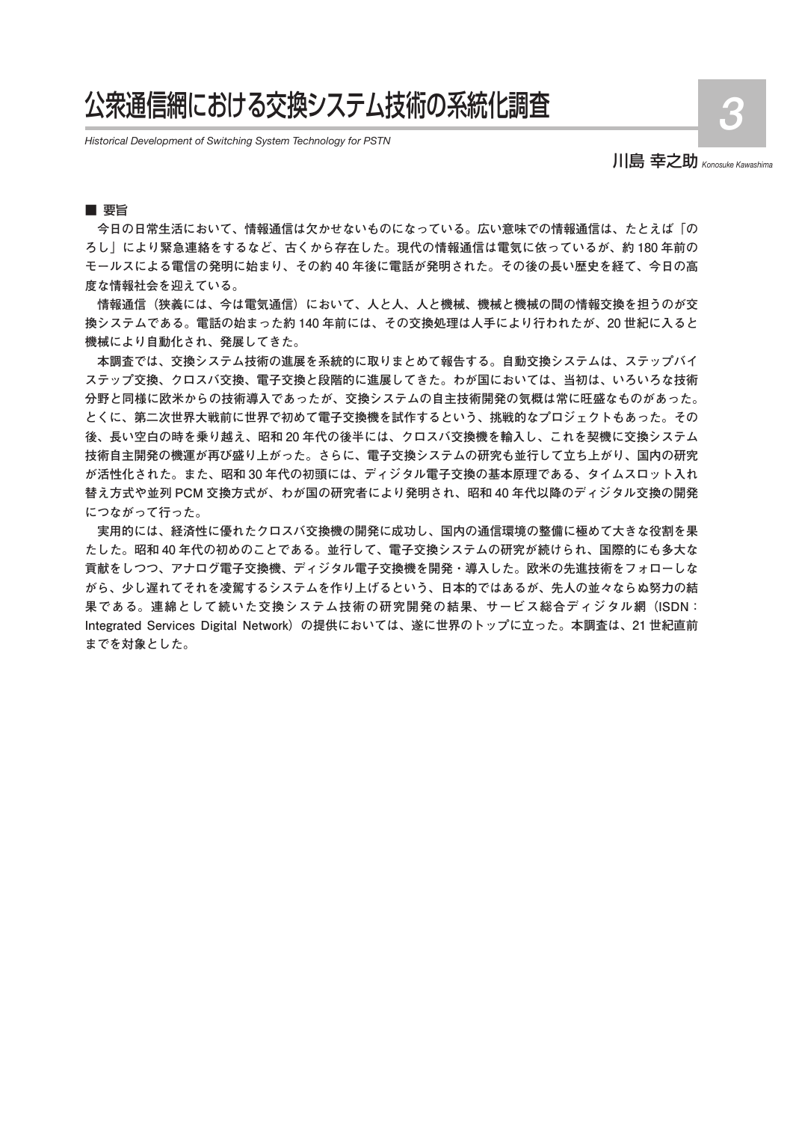# 公衆通信網における交換システム技術の系統化調査

*Historical Development of Switching System Technology for PSTN*

川島 幸之助 *Konosuke Kawashima*

## ■ 要旨

**今日の日常生活において、情報通信は欠かせないものになっている。広い意味での情報通信は、たとえば「の ろし」により緊急連絡をするなど、古くから存在した。現代の情報通信は電気に依っているが、約 180 年前の モールスによる電信の発明に始まり、その約 40 年後に電話が発明された。その後の長い歴史を経て、今日の高 度な情報社会を迎えている。**

**情報通信(狭義には、今は電気通信)において、人と人、人と機械、機械と機械の間の情報交換を担うのが交 換システムである。電話の始まった約 140 年前には、その交換処理は人手により行われたが、20 世紀に入ると 機械により自動化され、発展してきた。**

**本調査では、交換システム技術の進展を系統的に取りまとめて報告する。自動交換システムは、ステップバイ ステップ交換、クロスバ交換、電子交換と段階的に進展してきた。わが国においては、当初は、いろいろな技術 分野と同様に欧米からの技術導入であったが、交換システムの自主技術開発の気概は常に旺盛なものがあった。 とくに、第二次世界大戦前に世界で初めて電子交換機を試作するという、挑戦的なプロジェクトもあった。その 後、長い空白の時を乗り越え、昭和 20 年代の後半には、クロスバ交換機を輸入し、これを契機に交換システム 技術自主開発の機運が再び盛り上がった。さらに、電子交換システムの研究も並行して立ち上がり、国内の研究 が活性化された。また、昭和 30 年代の初頭には、ディジタル電子交換の基本原理である、タイムスロット入れ 替え方式や並列 PCM 交換方式が、わが国の研究者により発明され、昭和 40 年代以降のディジタル交換の開発 につながって行った。**

**実用的には、経済性に優れたクロスバ交換機の開発に成功し、国内の通信環境の整備に極めて大きな役割を果 たした。昭和 40 年代の初めのことである。並行して、電子交換システムの研究が続けられ、国際的にも多大な 貢献をしつつ、アナログ電子交換機、ディジタル電子交換機を開発・導入した。欧米の先進技術をフォローしな がら、少し遅れてそれを凌駕するシステムを作り上げるという、日本的ではあるが、先人の並々ならぬ努力の結 果である。連綿として続いた交換システム技術の研究開発の結果、サービス総合ディジタル網(ISDN: Integrated Services Digital Network)の提供においては、遂に世界のトップに立った。本調査は、21 世紀直前 までを対象とした。**